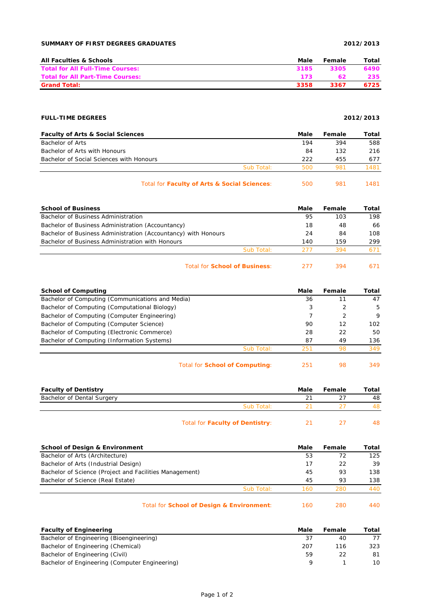### **SUMMARY OF FIRST DEGREES GRADUATES 2012/2013**

| <b>All Faculties &amp; Schools</b>      | Male | Female | Total |
|-----------------------------------------|------|--------|-------|
| <b>Total for All Full-Time Courses:</b> | 3185 | 3305   | 6490  |
| <b>Total for All Part-Time Courses:</b> | 173  |        | 235.  |
| <b>Grand Total:</b>                     | 3358 | 3367   | 6725  |

# **FULL-TIME DEGREES 2012/2013**

| <b>Faculty of Arts &amp; Social Sciences</b> |            | Male | Female | Total |
|----------------------------------------------|------------|------|--------|-------|
| Bachelor of Arts                             |            | 194  | 394    | 588   |
| Bachelor of Arts with Honours                |            | 84   | 132    | 216   |
| Bachelor of Social Sciences with Honours     |            | 222  | 455    | 677   |
|                                              | Sub Total: | 500  | 981    | 1481  |
| Total for Faculty of Arts & Social Sciences: |            | 500  | 981    | 1481  |

| <b>School of Business</b>                                      |            | Male | Female | Total |
|----------------------------------------------------------------|------------|------|--------|-------|
| Bachelor of Business Administration                            |            | 95   | 103    | 198   |
| Bachelor of Business Administration (Accountancy)              |            | 18   | 48     | 66    |
| Bachelor of Business Administration (Accountancy) with Honours |            | 24   | 84     | 108   |
| Bachelor of Business Administration with Honours               |            | 140  | 159    | 299   |
|                                                                | Sub Total: | 277  | 394    | 671   |
|                                                                |            |      |        |       |

# Total for **School of Business**: 277 394 671

| <b>School of Computing</b>                       | Male | Female | Total |
|--------------------------------------------------|------|--------|-------|
| Bachelor of Computing (Communications and Media) | 36   |        | 47    |
| Bachelor of Computing (Computational Biology)    | 3    |        | -5    |
| Bachelor of Computing (Computer Engineering)     |      | 2      | 9     |
| Bachelor of Computing (Computer Science)         | 90   | 12     | 102   |
| Bachelor of Computing (Electronic Commerce)      | 28   | 22     | 50    |
| Bachelor of Computing (Information Systems)      | 87   | 49     | 136   |
| Sub Total:                                       | 251  | 98     | 349   |
|                                                  |      |        |       |

| Total for <b>School of Computing:</b> |  | -98 | 349 |
|---------------------------------------|--|-----|-----|
|---------------------------------------|--|-----|-----|

| <b>Faculty of Dentistry</b> |                                 | Male | Female | Total |
|-----------------------------|---------------------------------|------|--------|-------|
| Bachelor of Dental Surgery  |                                 |      |        | 48    |
|                             | Sub Total:                      |      |        | 48.   |
|                             | Total for Faculty of Dentistry: |      |        | 48.   |

| <b>School of Design &amp; Environment</b>               | Male | Female | Total |
|---------------------------------------------------------|------|--------|-------|
| Bachelor of Arts (Architecture)                         | 53   | 72     | 125   |
| Bachelor of Arts (Industrial Design)                    | 17   | 22     | 39    |
| Bachelor of Science (Project and Facilities Management) | 45   | 93     | 138   |
| Bachelor of Science (Real Estate)                       | 45   | 93     | 138   |
| Sub Total:                                              | 160  | 280    | 440   |
| Total for School of Design & Environment:               | 160  | 280    | 440   |

| <b>Faculty of Engineering</b>                  | Male | Female | Total |
|------------------------------------------------|------|--------|-------|
| Bachelor of Engineering (Bioengineering)       |      | 40     |       |
| Bachelor of Engineering (Chemical)             | 207  | 116    | 323   |
| Bachelor of Engineering (Civil)                | 59   |        | 81    |
| Bachelor of Engineering (Computer Engineering) |      |        | 10.   |